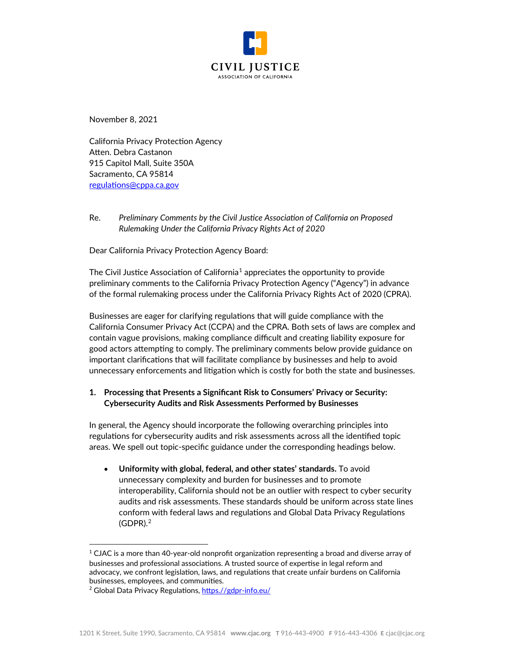

November 8, 2021

California Privacy Protection Agency Atten. Debra Castanon 915 Capitol Mall, Suite 350A Sacramento, CA 95814 [regulations@cppa.ca.gov](mailto:regulations@cppa.ca.gov)

Re. *Preliminary Comments by the Civil Justice Association of California on Proposed Rulemaking Under the California Privacy Rights Act of 2020*

Dear California Privacy Protection Agency Board:

The Civil Justice Association of California<sup>[1](#page-0-0)</sup> appreciates the opportunity to provide preliminary comments to the California Privacy Protection Agency ("Agency") in advance of the formal rulemaking process under the California Privacy Rights Act of 2020 (CPRA).

Businesses are eager for clarifying regulations that will guide compliance with the California Consumer Privacy Act (CCPA) and the CPRA. Both sets of laws are complex and contain vague provisions, making compliance difficult and creating liability exposure for good actors attempting to comply. The preliminary comments below provide guidance on important clarifications that will facilitate compliance by businesses and help to avoid unnecessary enforcements and litigation which is costly for both the state and businesses.

# **1. Processing that Presents a Significant Risk to Consumers' Privacy or Security: Cybersecurity Audits and Risk Assessments Performed by Businesses**

In general, the Agency should incorporate the following overarching principles into regulations for cybersecurity audits and risk assessments across all the identified topic areas. We spell out topic-specific guidance under the corresponding headings below.

• **Uniformity with global, federal, and other states' standards.** To avoid unnecessary complexity and burden for businesses and to promote interoperability, California should not be an outlier with respect to cyber security audits and risk assessments. These standards should be uniform across state lines conform with federal laws and regulations and Global Data Privacy Regulations (GDPR). [2](#page-0-1)

<span id="page-0-0"></span> $1$  CJAC is a more than 40-year-old nonprofit organization representing a broad and diverse array of businesses and professional associations. A trusted source of expertise in legal reform and advocacy, we confront legislation, laws, and regulations that create unfair burdens on California businesses, employees, and communities.

<span id="page-0-1"></span><sup>&</sup>lt;sup>2</sup> Global Data Privacy Regulations, https.//gdpr[-info.eu/](https://gdpr-info.eu/)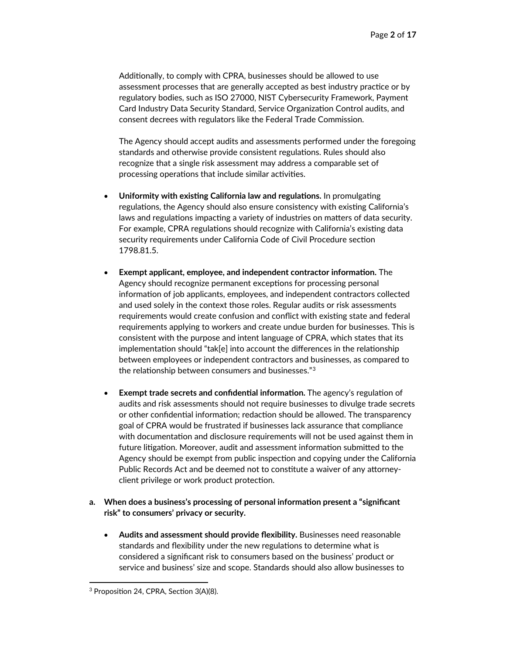Additionally, to comply with CPRA, businesses should be allowed to use assessment processes that are generally accepted as best industry practice or by regulatory bodies, such as ISO 27000, NIST Cybersecurity Framework, Payment Card Industry Data Security Standard, Service Organization Control audits, and consent decrees with regulators like the Federal Trade Commission.

The Agency should accept audits and assessments performed under the foregoing standards and otherwise provide consistent regulations. Rules should also recognize that a single risk assessment may address a comparable set of processing operations that include similar activities.

- **Uniformity with existing California law and regulations.** In promulgating regulations, the Agency should also ensure consistency with existing California's laws and regulations impacting a variety of industries on matters of data security. For example, CPRA regulations should recognize with California's existing data security requirements under California Code of Civil Procedure section 1798.81.5.
- **Exempt applicant, employee, and independent contractor information.** The Agency should recognize permanent exceptions for processing personal information of job applicants, employees, and independent contractors collected and used solely in the context those roles. Regular audits or risk assessments requirements would create confusion and conflict with existing state and federal requirements applying to workers and create undue burden for businesses. This is consistent with the purpose and intent language of CPRA, which states that its implementation should "tak[e] into account the differences in the relationship between employees or independent contractors and businesses, as compared to the relationship between consumers and businesses."[3](#page-1-0)
- **Exempt trade secrets and confidential information.** The agency's regulation of audits and risk assessments should not require businesses to divulge trade secrets or other confidential information; redaction should be allowed. The transparency goal of CPRA would be frustrated if businesses lack assurance that compliance with documentation and disclosure requirements will not be used against them in future litigation. Moreover, audit and assessment information submitted to the Agency should be exempt from public inspection and copying under the California Public Records Act and be deemed not to constitute a waiver of any attorneyclient privilege or work product protection.

## **a. When does a business's processing of personal information present a "significant risk" to consumers' privacy or security.**

• **Audits and assessment should provide flexibility.** Businesses need reasonable standards and flexibility under the new regulations to determine what is considered a significant risk to consumers based on the business' product or service and business' size and scope. Standards should also allow businesses to

<span id="page-1-0"></span><sup>3</sup> Proposition 24, CPRA, Section 3(A)(8).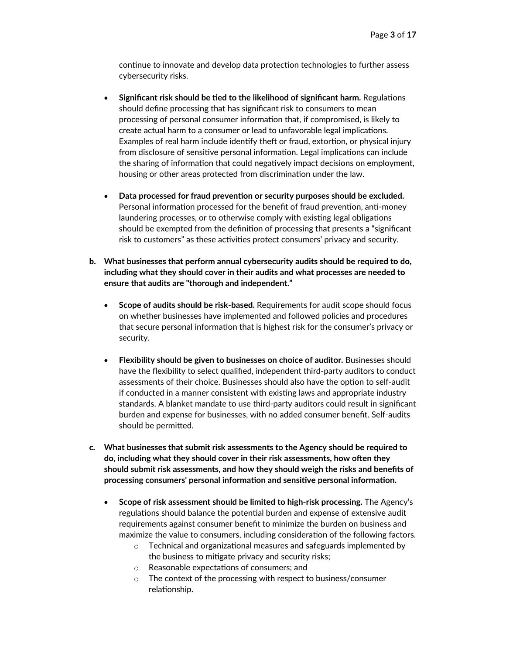continue to innovate and develop data protection technologies to further assess cybersecurity risks.

- **Significant risk should be tied to the likelihood of significant harm.** Regulations should define processing that has significant risk to consumers to mean processing of personal consumer information that, if compromised, is likely to create actual harm to a consumer or lead to unfavorable legal implications. Examples of real harm include identify theft or fraud, extortion, or physical injury from disclosure of sensitive personal information. Legal implications can include the sharing of information that could negatively impact decisions on employment, housing or other areas protected from discrimination under the law.
- **Data processed for fraud prevention or security purposes should be excluded.** Personal information processed for the benefit of fraud prevention, anti-money laundering processes, or to otherwise comply with existing legal obligations should be exempted from the definition of processing that presents a "significant risk to customers" as these activities protect consumers' privacy and security.
- **b. What businesses that perform annual cybersecurity audits should be required to do, including what they should cover in their audits and what processes are needed to ensure that audits are "thorough and independent."**
	- **Scope of audits should be risk-based.** Requirements for audit scope should focus on whether businesses have implemented and followed policies and procedures that secure personal information that is highest risk for the consumer's privacy or security.
	- **Flexibility should be given to businesses on choice of auditor.** Businesses should have the flexibility to select qualified, independent third-party auditors to conduct assessments of their choice. Businesses should also have the option to self-audit if conducted in a manner consistent with existing laws and appropriate industry standards. A blanket mandate to use third-party auditors could result in significant burden and expense for businesses, with no added consumer benefit. Self-audits should be permitted.
- **c. What businesses that submit risk assessments to the Agency should be required to do, including what they should cover in their risk assessments, how often they should submit risk assessments, and how they should weigh the risks and benefits of processing consumers' personal information and sensitive personal information.**
	- **Scope of risk assessment should be limited to high-risk processing.** The Agency's regulations should balance the potential burden and expense of extensive audit requirements against consumer benefit to minimize the burden on business and maximize the value to consumers, including consideration of the following factors.
		- o Technical and organizational measures and safeguards implemented by the business to mitigate privacy and security risks;
		- o Reasonable expectations of consumers; and
		- o The context of the processing with respect to business/consumer relationship.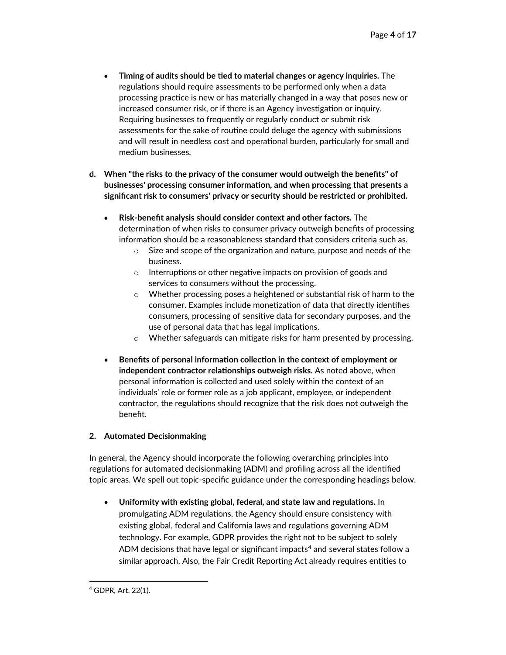- **Timing of audits should be tied to material changes or agency inquiries.** The regulations should require assessments to be performed only when a data processing practice is new or has materially changed in a way that poses new or increased consumer risk, or if there is an Agency investigation or inquiry. Requiring businesses to frequently or regularly conduct or submit risk assessments for the sake of routine could deluge the agency with submissions and will result in needless cost and operational burden, particularly for small and medium businesses.
- **d. When "the risks to the privacy of the consumer would outweigh the benefits" of businesses' processing consumer information, and when processing that presents a significant risk to consumers' privacy or security should be restricted or prohibited.**
	- **Risk-benefit analysis should consider context and other factors.** The determination of when risks to consumer privacy outweigh benefits of processing information should be a reasonableness standard that considers criteria such as.
		- $\circ$  Size and scope of the organization and nature, purpose and needs of the business.
		- o Interruptions or other negative impacts on provision of goods and services to consumers without the processing.
		- o Whether processing poses a heightened or substantial risk of harm to the consumer. Examples include monetization of data that directly identifies consumers, processing of sensitive data for secondary purposes, and the use of personal data that has legal implications.
		- o Whether safeguards can mitigate risks for harm presented by processing.
	- **Benefits of personal information collection in the context of employment or independent contractor relationships outweigh risks.** As noted above, when personal information is collected and used solely within the context of an individuals' role or former role as a job applicant, employee, or independent contractor, the regulations should recognize that the risk does not outweigh the benefit.

# **2. Automated Decisionmaking**

In general, the Agency should incorporate the following overarching principles into regulations for automated decisionmaking (ADM) and profiling across all the identified topic areas. We spell out topic-specific guidance under the corresponding headings below.

• **Uniformity with existing global, federal, and state law and regulations.** In promulgating ADM regulations, the Agency should ensure consistency with existing global, federal and California laws and regulations governing ADM technology. For example, GDPR provides the right not to be subject to solely ADM decisions that have legal or significant impacts<sup>[4](#page-3-0)</sup> and several states follow a similar approach. Also, the Fair Credit Reporting Act already requires entities to

<span id="page-3-0"></span><sup>4</sup> GDPR, Art. 22(1).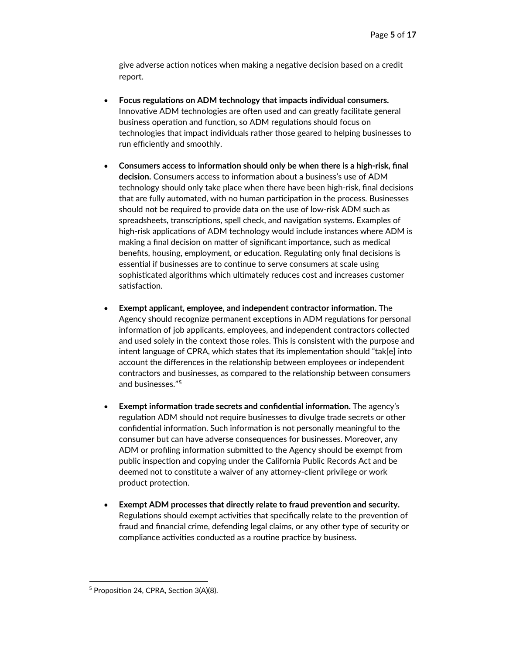give adverse action notices when making a negative decision based on a credit report.

- **Focus regulations on ADM technology that impacts individual consumers.** Innovative ADM technologies are often used and can greatly facilitate general business operation and function, so ADM regulations should focus on technologies that impact individuals rather those geared to helping businesses to run efficiently and smoothly.
- **Consumers access to information should only be when there is a high-risk, final decision.** Consumers access to information about a business's use of ADM technology should only take place when there have been high-risk, final decisions that are fully automated, with no human participation in the process. Businesses should not be required to provide data on the use of low-risk ADM such as spreadsheets, transcriptions, spell check, and navigation systems. Examples of high-risk applications of ADM technology would include instances where ADM is making a final decision on matter of significant importance, such as medical benefits, housing, employment, or education. Regulating only final decisions is essential if businesses are to continue to serve consumers at scale using sophisticated algorithms which ultimately reduces cost and increases customer satisfaction.
- **Exempt applicant, employee, and independent contractor information.** The Agency should recognize permanent exceptions in ADM regulations for personal information of job applicants, employees, and independent contractors collected and used solely in the context those roles. This is consistent with the purpose and intent language of CPRA, which states that its implementation should "tak[e] into account the differences in the relationship between employees or independent contractors and businesses, as compared to the relationship between consumers and businesses."[5](#page-4-0)
- **Exempt information trade secrets and confidential information.** The agency's regulation ADM should not require businesses to divulge trade secrets or other confidential information. Such information is not personally meaningful to the consumer but can have adverse consequences for businesses. Moreover, any ADM or profiling information submitted to the Agency should be exempt from public inspection and copying under the California Public Records Act and be deemed not to constitute a waiver of any attorney-client privilege or work product protection.
- **Exempt ADM processes that directly relate to fraud prevention and security.** Regulations should exempt activities that specifically relate to the prevention of fraud and financial crime, defending legal claims, or any other type of security or compliance activities conducted as a routine practice by business.

<span id="page-4-0"></span><sup>5</sup> Proposition 24, CPRA, Section 3(A)(8).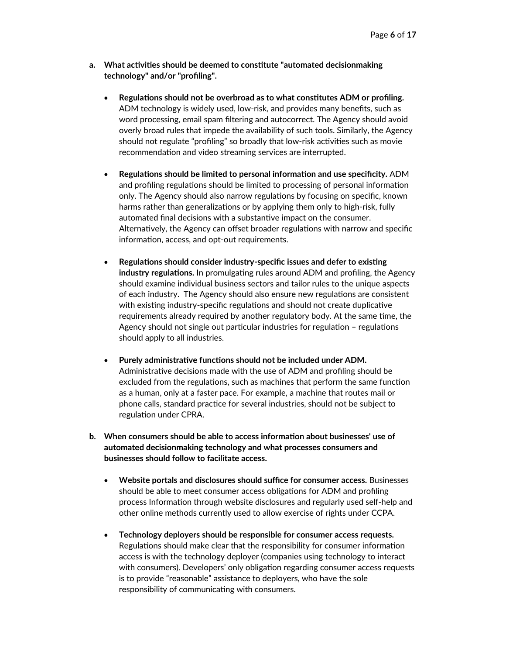- **a. What activities should be deemed to constitute "automated decisionmaking technology" and/or "profiling".**
	- **Regulations should not be overbroad as to what constitutes ADM or profiling.** ADM technology is widely used, low-risk, and provides many benefits, such as word processing, email spam filtering and autocorrect. The Agency should avoid overly broad rules that impede the availability of such tools. Similarly, the Agency should not regulate "profiling" so broadly that low-risk activities such as movie recommendation and video streaming services are interrupted.
	- **Regulations should be limited to personal information and use specificity.** ADM and profiling regulations should be limited to processing of personal information only. The Agency should also narrow regulations by focusing on specific, known harms rather than generalizations or by applying them only to high-risk, fully automated final decisions with a substantive impact on the consumer. Alternatively, the Agency can offset broader regulations with narrow and specific information, access, and opt-out requirements.
	- **Regulations should consider industry-specific issues and defer to existing industry regulations.** In promulgating rules around ADM and profiling, the Agency should examine individual business sectors and tailor rules to the unique aspects of each industry. The Agency should also ensure new regulations are consistent with existing industry-specific regulations and should not create duplicative requirements already required by another regulatory body. At the same time, the Agency should not single out particular industries for regulation – regulations should apply to all industries.
	- **Purely administrative functions should not be included under ADM.** Administrative decisions made with the use of ADM and profiling should be excluded from the regulations, such as machines that perform the same function as a human, only at a faster pace. For example, a machine that routes mail or phone calls, standard practice for several industries, should not be subject to regulation under CPRA.
- **b. When consumers should be able to access information about businesses' use of automated decisionmaking technology and what processes consumers and businesses should follow to facilitate access.**
	- **Website portals and disclosures should suffice for consumer access.** Businesses should be able to meet consumer access obligations for ADM and profiling process Information through website disclosures and regularly used self-help and other online methods currently used to allow exercise of rights under CCPA.
	- **Technology deployers should be responsible for consumer access requests.** Regulations should make clear that the responsibility for consumer information access is with the technology deployer (companies using technology to interact with consumers). Developers' only obligation regarding consumer access requests is to provide "reasonable" assistance to deployers, who have the sole responsibility of communicating with consumers.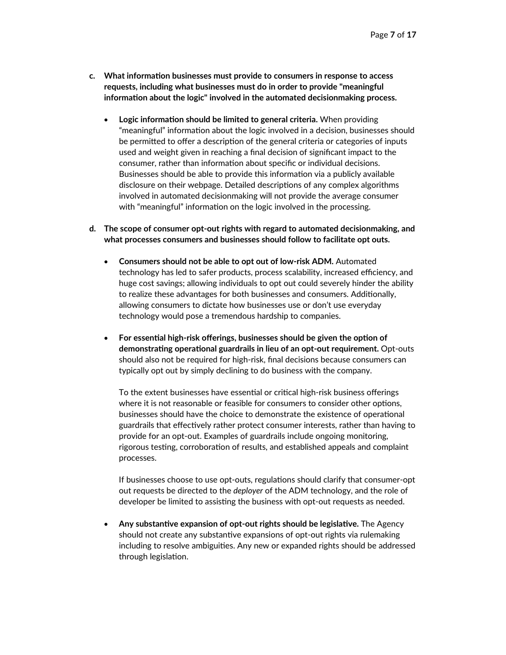- **c. What information businesses must provide to consumers in response to access requests, including what businesses must do in order to provide "meaningful information about the logic" involved in the automated decisionmaking process.**
	- **Logic information should be limited to general criteria.** When providing "meaningful" information about the logic involved in a decision, businesses should be permitted to offer a description of the general criteria or categories of inputs used and weight given in reaching a final decision of significant impact to the consumer, rather than information about specific or individual decisions. Businesses should be able to provide this information via a publicly available disclosure on their webpage. Detailed descriptions of any complex algorithms involved in automated decisionmaking will not provide the average consumer with "meaningful" information on the logic involved in the processing.
- **d. The scope of consumer opt-out rights with regard to automated decisionmaking, and what processes consumers and businesses should follow to facilitate opt outs.**
	- **Consumers should not be able to opt out of low-risk ADM.** Automated technology has led to safer products, process scalability, increased efficiency, and huge cost savings; allowing individuals to opt out could severely hinder the ability to realize these advantages for both businesses and consumers. Additionally, allowing consumers to dictate how businesses use or don't use everyday technology would pose a tremendous hardship to companies.
	- **For essential high-risk offerings, businesses should be given the option of demonstrating operational guardrails in lieu of an opt-out requirement.** Opt-outs should also not be required for high-risk, final decisions because consumers can typically opt out by simply declining to do business with the company.

To the extent businesses have essential or critical high-risk business offerings where it is not reasonable or feasible for consumers to consider other options, businesses should have the choice to demonstrate the existence of operational guardrails that effectively rather protect consumer interests, rather than having to provide for an opt-out. Examples of guardrails include ongoing monitoring, rigorous testing, corroboration of results, and established appeals and complaint processes.

If businesses choose to use opt-outs, regulations should clarify that consumer-opt out requests be directed to the *deployer* of the ADM technology, and the role of developer be limited to assisting the business with opt-out requests as needed.

• **Any substantive expansion of opt-out rights should be legislative.** The Agency should not create any substantive expansions of opt-out rights via rulemaking including to resolve ambiguities. Any new or expanded rights should be addressed through legislation.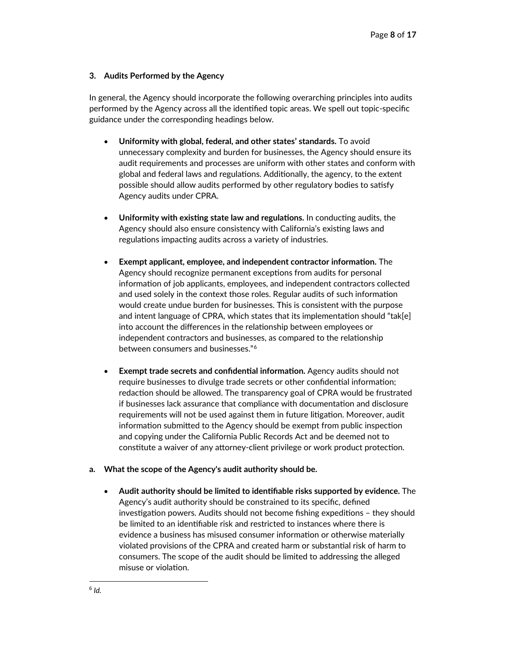## **3. Audits Performed by the Agency**

In general, the Agency should incorporate the following overarching principles into audits performed by the Agency across all the identified topic areas. We spell out topic-specific guidance under the corresponding headings below.

- **Uniformity with global, federal, and other states' standards.** To avoid unnecessary complexity and burden for businesses, the Agency should ensure its audit requirements and processes are uniform with other states and conform with global and federal laws and regulations. Additionally, the agency, to the extent possible should allow audits performed by other regulatory bodies to satisfy Agency audits under CPRA.
- **Uniformity with existing state law and regulations.** In conducting audits, the Agency should also ensure consistency with California's existing laws and regulations impacting audits across a variety of industries.
- **Exempt applicant, employee, and independent contractor information.** The Agency should recognize permanent exceptions from audits for personal information of job applicants, employees, and independent contractors collected and used solely in the context those roles. Regular audits of such information would create undue burden for businesses. This is consistent with the purpose and intent language of CPRA, which states that its implementation should "tak[e] into account the differences in the relationship between employees or independent contractors and businesses, as compared to the relationship between consumers and businesses."[6](#page-7-0)
- **Exempt trade secrets and confidential information.** Agency audits should not require businesses to divulge trade secrets or other confidential information; redaction should be allowed. The transparency goal of CPRA would be frustrated if businesses lack assurance that compliance with documentation and disclosure requirements will not be used against them in future litigation. Moreover, audit information submitted to the Agency should be exempt from public inspection and copying under the California Public Records Act and be deemed not to constitute a waiver of any attorney-client privilege or work product protection.

## **a. What the scope of the Agency's audit authority should be.**

<span id="page-7-0"></span>• **Audit authority should be limited to identifiable risks supported by evidence.** The Agency's audit authority should be constrained to its specific, defined investigation powers. Audits should not become fishing expeditions – they should be limited to an identifiable risk and restricted to instances where there is evidence a business has misused consumer information or otherwise materially violated provisions of the CPRA and created harm or substantial risk of harm to consumers. The scope of the audit should be limited to addressing the alleged misuse or violation.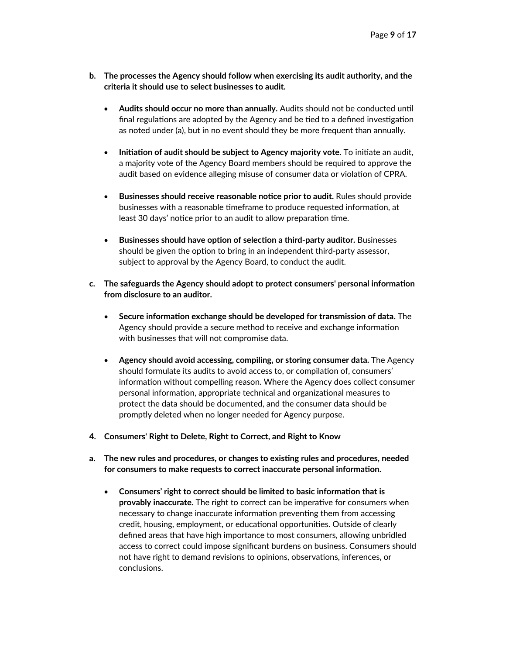- **b. The processes the Agency should follow when exercising its audit authority, and the criteria it should use to select businesses to audit.**
	- **Audits should occur no more than annually.** Audits should not be conducted until final regulations are adopted by the Agency and be tied to a defined investigation as noted under (a), but in no event should they be more frequent than annually.
	- **Initiation of audit should be subject to Agency majority vote.** To initiate an audit, a majority vote of the Agency Board members should be required to approve the audit based on evidence alleging misuse of consumer data or violation of CPRA.
	- **Businesses should receive reasonable notice prior to audit.** Rules should provide businesses with a reasonable timeframe to produce requested information, at least 30 days' notice prior to an audit to allow preparation time.
	- **Businesses should have option of selection a third-party auditor.** Businesses should be given the option to bring in an independent third-party assessor, subject to approval by the Agency Board, to conduct the audit.
- **c. The safeguards the Agency should adopt to protect consumers' personal information from disclosure to an auditor.**
	- **Secure information exchange should be developed for transmission of data.** The Agency should provide a secure method to receive and exchange information with businesses that will not compromise data.
	- **Agency should avoid accessing, compiling, or storing consumer data.** The Agency should formulate its audits to avoid access to, or compilation of, consumers' information without compelling reason. Where the Agency does collect consumer personal information, appropriate technical and organizational measures to protect the data should be documented, and the consumer data should be promptly deleted when no longer needed for Agency purpose.
- **4. Consumers' Right to Delete, Right to Correct, and Right to Know**
- **a. The new rules and procedures, or changes to existing rules and procedures, needed for consumers to make requests to correct inaccurate personal information.**
	- **Consumers' right to correct should be limited to basic information that is provably inaccurate.** The right to correct can be imperative for consumers when necessary to change inaccurate information preventing them from accessing credit, housing, employment, or educational opportunities. Outside of clearly defined areas that have high importance to most consumers, allowing unbridled access to correct could impose significant burdens on business. Consumers should not have right to demand revisions to opinions, observations, inferences, or conclusions.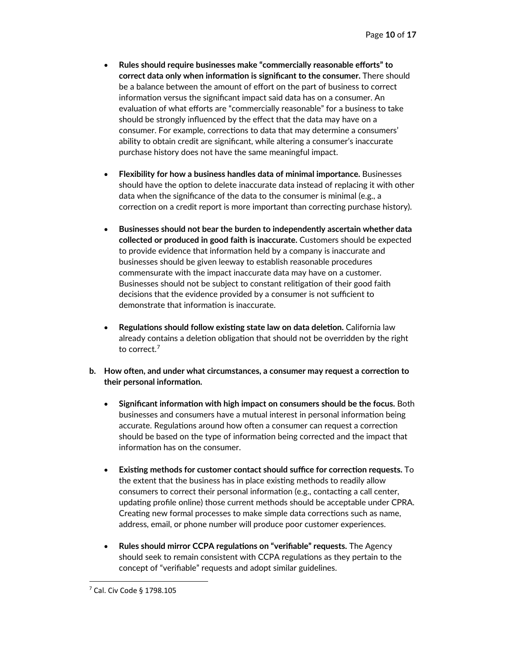- **Rules should require businesses make "commercially reasonable efforts" to correct data only when information is significant to the consumer.** There should be a balance between the amount of effort on the part of business to correct information versus the significant impact said data has on a consumer. An evaluation of what efforts are "commercially reasonable" for a business to take should be strongly influenced by the effect that the data may have on a consumer. For example, corrections to data that may determine a consumers' ability to obtain credit are significant, while altering a consumer's inaccurate purchase history does not have the same meaningful impact.
- **Flexibility for how a business handles data of minimal importance.** Businesses should have the option to delete inaccurate data instead of replacing it with other data when the significance of the data to the consumer is minimal (e.g., a correction on a credit report is more important than correcting purchase history).
- **Businesses should not bear the burden to independently ascertain whether data collected or produced in good faith is inaccurate.** Customers should be expected to provide evidence that information held by a company is inaccurate and businesses should be given leeway to establish reasonable procedures commensurate with the impact inaccurate data may have on a customer. Businesses should not be subject to constant relitigation of their good faith decisions that the evidence provided by a consumer is not sufficient to demonstrate that information is inaccurate.
- **Regulations should follow existing state law on data deletion.** California law already contains a deletion obligation that should not be overridden by the right to correct.[7](#page-9-0)
- **b. How often, and under what circumstances, a consumer may request a correction to their personal information.**
	- **Significant information with high impact on consumers should be the focus.** Both businesses and consumers have a mutual interest in personal information being accurate. Regulations around how often a consumer can request a correction should be based on the type of information being corrected and the impact that information has on the consumer.
	- **Existing methods for customer contact should suffice for correction requests.** To the extent that the business has in place existing methods to readily allow consumers to correct their personal information (e.g., contacting a call center, updating profile online) those current methods should be acceptable under CPRA. Creating new formal processes to make simple data corrections such as name, address, email, or phone number will produce poor customer experiences.
	- **Rules should mirror CCPA regulations on "verifiable" requests.** The Agency should seek to remain consistent with CCPA regulations as they pertain to the concept of "verifiable" requests and adopt similar guidelines.

<span id="page-9-0"></span><sup>7</sup> Cal. Civ Code § 1798.105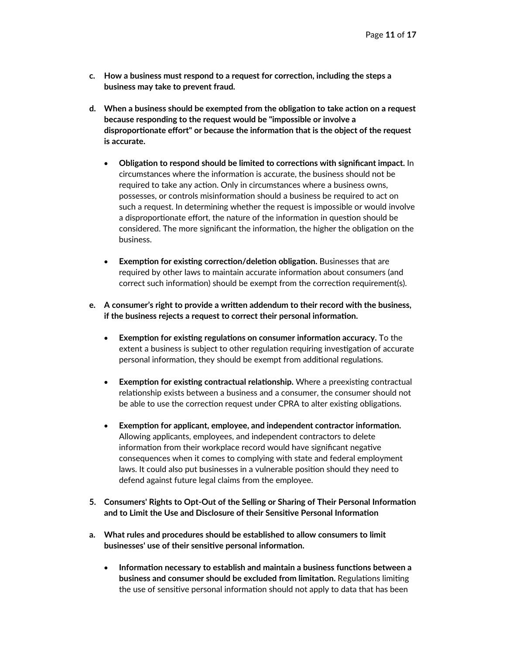- **c. How a business must respond to a request for correction, including the steps a business may take to prevent fraud.**
- **d. When a business should be exempted from the obligation to take action on a request because responding to the request would be "impossible or involve a disproportionate effort" or because the information that is the object of the request is accurate.**
	- **Obligation to respond should be limited to corrections with significant impact.** In circumstances where the information is accurate, the business should not be required to take any action. Only in circumstances where a business owns, possesses, or controls misinformation should a business be required to act on such a request. In determining whether the request is impossible or would involve a disproportionate effort, the nature of the information in question should be considered. The more significant the information, the higher the obligation on the business.
	- **Exemption for existing correction/deletion obligation.** Businesses that are required by other laws to maintain accurate information about consumers (and correct such information) should be exempt from the correction requirement(s).
- **e. A consumer's right to provide a written addendum to their record with the business, if the business rejects a request to correct their personal information.**
	- **Exemption for existing regulations on consumer information accuracy.** To the extent a business is subject to other regulation requiring investigation of accurate personal information, they should be exempt from additional regulations.
	- **Exemption for existing contractual relationship.** Where a preexisting contractual relationship exists between a business and a consumer, the consumer should not be able to use the correction request under CPRA to alter existing obligations.
	- **Exemption for applicant, employee, and independent contractor information.** Allowing applicants, employees, and independent contractors to delete information from their workplace record would have significant negative consequences when it comes to complying with state and federal employment laws. It could also put businesses in a vulnerable position should they need to defend against future legal claims from the employee.
- **5. Consumers' Rights to Opt-Out of the Selling or Sharing of Their Personal Information and to Limit the Use and Disclosure of their Sensitive Personal Information**
- **a. What rules and procedures should be established to allow consumers to limit businesses' use of their sensitive personal information.**
	- **Information necessary to establish and maintain a business functions between a business and consumer should be excluded from limitation.** Regulations limiting the use of sensitive personal information should not apply to data that has been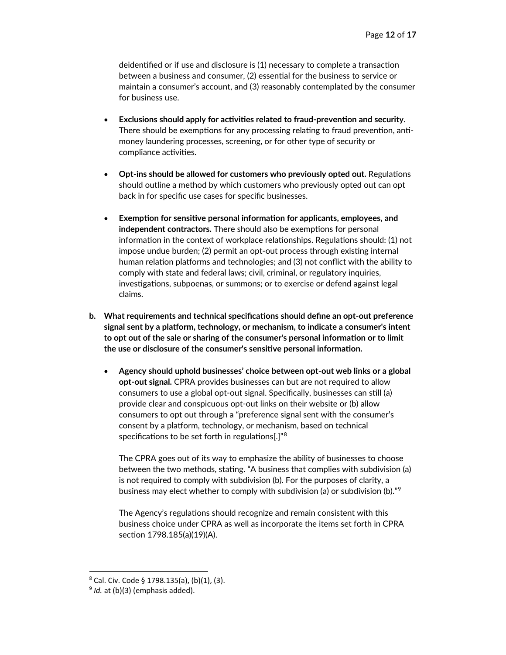deidentified or if use and disclosure is (1) necessary to complete a transaction between a business and consumer, (2) essential for the business to service or maintain a consumer's account, and (3) reasonably contemplated by the consumer for business use.

- **Exclusions should apply for activities related to fraud-prevention and security.** There should be exemptions for any processing relating to fraud prevention, antimoney laundering processes, screening, or for other type of security or compliance activities.
- **Opt-ins should be allowed for customers who previously opted out.** Regulations should outline a method by which customers who previously opted out can opt back in for specific use cases for specific businesses.
- **Exemption for sensitive personal information for applicants, employees, and independent contractors.** There should also be exemptions for personal information in the context of workplace relationships. Regulations should: (1) not impose undue burden; (2) permit an opt-out process through existing internal human relation platforms and technologies; and (3) not conflict with the ability to comply with state and federal laws; civil, criminal, or regulatory inquiries, investigations, subpoenas, or summons; or to exercise or defend against legal claims.
- **b. What requirements and technical specifications should define an opt-out preference signal sent by a platform, technology, or mechanism, to indicate a consumer's intent to opt out of the sale or sharing of the consumer's personal information or to limit the use or disclosure of the consumer's sensitive personal information.**
	- **Agency should uphold businesses' choice between opt-out web links or a global opt-out signal.** CPRA provides businesses can but are not required to allow consumers to use a global opt-out signal. Specifically, businesses can still (a) provide clear and conspicuous opt-out links on their website or (b) allow consumers to opt out through a "preference signal sent with the consumer's consent by a platform, technology, or mechanism, based on technical specifications to be set forth in regulations[.]"[8](#page-11-0)

The CPRA goes out of its way to emphasize the ability of businesses to choose between the two methods, stating. "A business that complies with subdivision (a) is not required to comply with subdivision (b). For the purposes of clarity, a business may elect whether to comply with subdivision (a) or subdivision (b)."[9](#page-11-1)

The Agency's regulations should recognize and remain consistent with this business choice under CPRA as well as incorporate the items set forth in CPRA section 1798.185(a)(19)(A).

<span id="page-11-0"></span><sup>8</sup> Cal. Civ. Code § 1798.135(a), (b)(1), (3).

<span id="page-11-1"></span><sup>&</sup>lt;sup>9</sup> *Id.* at (b)(3) (emphasis added).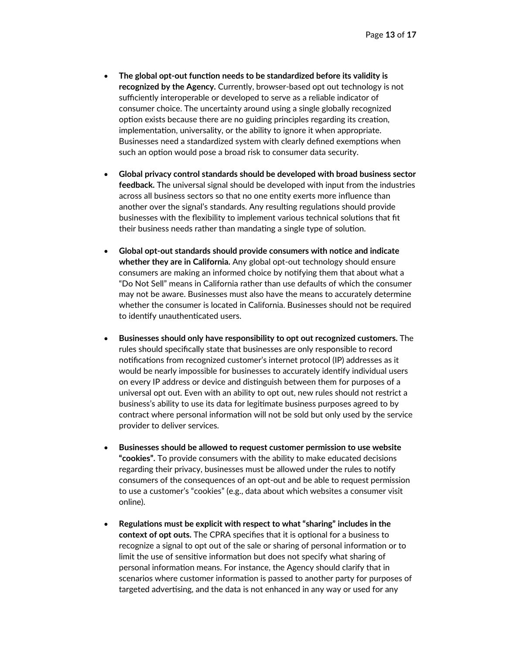- **The global opt-out function needs to be standardized before its validity is recognized by the Agency.** Currently, browser-based opt out technology is not sufficiently interoperable or developed to serve as a reliable indicator of consumer choice. The uncertainty around using a single globally recognized option exists because there are no guiding principles regarding its creation, implementation, universality, or the ability to ignore it when appropriate. Businesses need a standardized system with clearly defined exemptions when such an option would pose a broad risk to consumer data security.
- **Global privacy control standards should be developed with broad business sector feedback.** The universal signal should be developed with input from the industries across all business sectors so that no one entity exerts more influence than another over the signal's standards. Any resulting regulations should provide businesses with the flexibility to implement various technical solutions that fit their business needs rather than mandating a single type of solution.
- **Global opt-out standards should provide consumers with notice and indicate whether they are in California.** Any global opt-out technology should ensure consumers are making an informed choice by notifying them that about what a "Do Not Sell" means in California rather than use defaults of which the consumer may not be aware. Businesses must also have the means to accurately determine whether the consumer is located in California. Businesses should not be required to identify unauthenticated users.
- **Businesses should only have responsibility to opt out recognized customers.** The rules should specifically state that businesses are only responsible to record notifications from recognized customer's internet protocol (IP) addresses as it would be nearly impossible for businesses to accurately identify individual users on every IP address or device and distinguish between them for purposes of a universal opt out. Even with an ability to opt out, new rules should not restrict a business's ability to use its data for legitimate business purposes agreed to by contract where personal information will not be sold but only used by the service provider to deliver services.
- **Businesses should be allowed to request customer permission to use website "cookies".** To provide consumers with the ability to make educated decisions regarding their privacy, businesses must be allowed under the rules to notify consumers of the consequences of an opt-out and be able to request permission to use a customer's "cookies" (e.g., data about which websites a consumer visit online).
- **Regulations must be explicit with respect to what "sharing" includes in the context of opt outs.** The CPRA specifies that it is optional for a business to recognize a signal to opt out of the sale or sharing of personal information or to limit the use of sensitive information but does not specify what sharing of personal information means. For instance, the Agency should clarify that in scenarios where customer information is passed to another party for purposes of targeted advertising, and the data is not enhanced in any way or used for any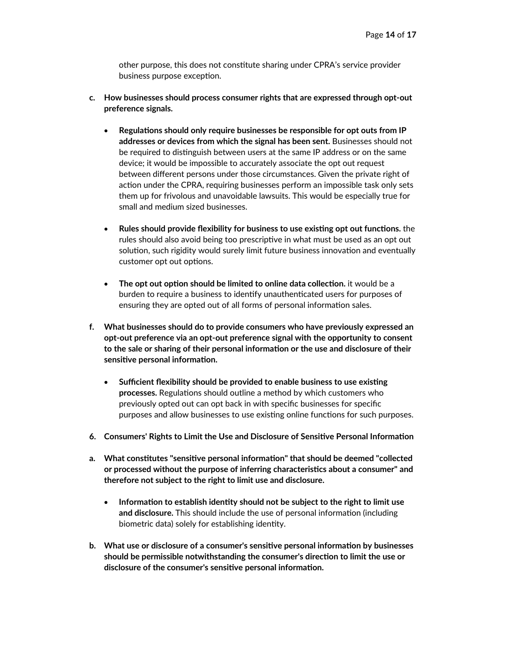other purpose, this does not constitute sharing under CPRA's service provider business purpose exception.

- **c. How businesses should process consumer rights that are expressed through opt-out preference signals.**
	- **Regulations should only require businesses be responsible for opt outs from IP addresses or devices from which the signal has been sent.** Businesses should not be required to distinguish between users at the same IP address or on the same device; it would be impossible to accurately associate the opt out request between different persons under those circumstances. Given the private right of action under the CPRA, requiring businesses perform an impossible task only sets them up for frivolous and unavoidable lawsuits. This would be especially true for small and medium sized businesses.
	- **Rules should provide flexibility for business to use existing opt out functions.** the rules should also avoid being too prescriptive in what must be used as an opt out solution, such rigidity would surely limit future business innovation and eventually customer opt out options.
	- **The opt out option should be limited to online data collection.** it would be a burden to require a business to identify unauthenticated users for purposes of ensuring they are opted out of all forms of personal information sales.
- **f. What businesses should do to provide consumers who have previously expressed an opt-out preference via an opt-out preference signal with the opportunity to consent to the sale or sharing of their personal information or the use and disclosure of their sensitive personal information.**
	- **Sufficient flexibility should be provided to enable business to use existing processes.** Regulations should outline a method by which customers who previously opted out can opt back in with specific businesses for specific purposes and allow businesses to use existing online functions for such purposes.
- **6. Consumers' Rights to Limit the Use and Disclosure of Sensitive Personal Information**
- **a. What constitutes "sensitive personal information" that should be deemed "collected or processed without the purpose of inferring characteristics about a consumer" and therefore not subject to the right to limit use and disclosure.**
	- **Information to establish identity should not be subject to the right to limit use and disclosure.** This should include the use of personal information (including biometric data) solely for establishing identity.
- **b. What use or disclosure of a consumer's sensitive personal information by businesses should be permissible notwithstanding the consumer's direction to limit the use or disclosure of the consumer's sensitive personal information.**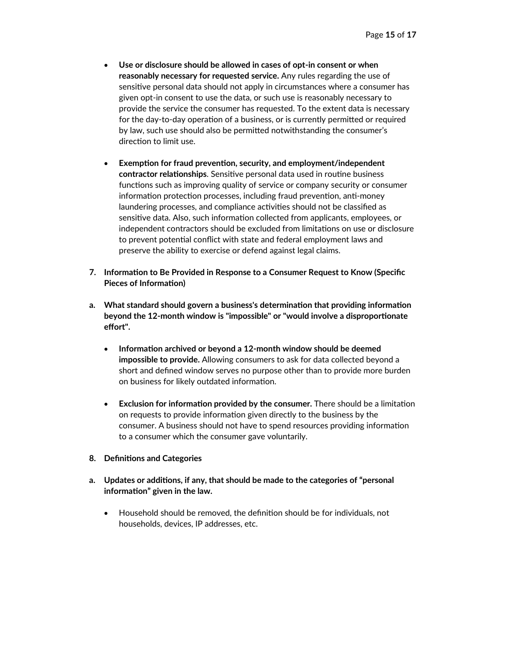- **Use or disclosure should be allowed in cases of opt-in consent or when reasonably necessary for requested service.** Any rules regarding the use of sensitive personal data should not apply in circumstances where a consumer has given opt-in consent to use the data, or such use is reasonably necessary to provide the service the consumer has requested. To the extent data is necessary for the day-to-day operation of a business, or is currently permitted or required by law, such use should also be permitted notwithstanding the consumer's direction to limit use.
- **Exemption for fraud prevention, security, and employment/independent contractor relationships**. Sensitive personal data used in routine business functions such as improving quality of service or company security or consumer information protection processes, including fraud prevention, anti-money laundering processes, and compliance activities should not be classified as sensitive data. Also, such information collected from applicants, employees, or independent contractors should be excluded from limitations on use or disclosure to prevent potential conflict with state and federal employment laws and preserve the ability to exercise or defend against legal claims.
- **7. Information to Be Provided in Response to a Consumer Request to Know (Specific Pieces of Information)**
- **a. What standard should govern a business's determination that providing information beyond the 12-month window is "impossible" or "would involve a disproportionate effort".**
	- **Information archived or beyond a 12-month window should be deemed impossible to provide.** Allowing consumers to ask for data collected beyond a short and defined window serves no purpose other than to provide more burden on business for likely outdated information.
	- **Exclusion for information provided by the consumer.** There should be a limitation on requests to provide information given directly to the business by the consumer. A business should not have to spend resources providing information to a consumer which the consumer gave voluntarily.

#### **8. Definitions and Categories**

- **a. Updates or additions, if any, that should be made to the categories of "personal information" given in the law.**
	- Household should be removed, the definition should be for individuals, not households, devices, IP addresses, etc.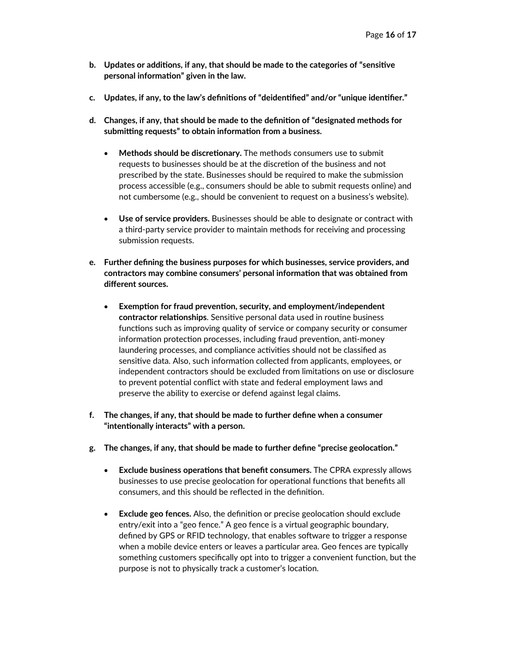- **b. Updates or additions, if any, that should be made to the categories of "sensitive personal information" given in the law.**
- **c. Updates, if any, to the law's definitions of "deidentified" and/or "unique identifier."**
- **d. Changes, if any, that should be made to the definition of "designated methods for submitting requests" to obtain information from a business.**
	- **Methods should be discretionary.** The methods consumers use to submit requests to businesses should be at the discretion of the business and not prescribed by the state. Businesses should be required to make the submission process accessible (e.g., consumers should be able to submit requests online) and not cumbersome (e.g., should be convenient to request on a business's website).
	- **Use of service providers.** Businesses should be able to designate or contract with a third-party service provider to maintain methods for receiving and processing submission requests.
- **e. Further defining the business purposes for which businesses, service providers, and contractors may combine consumers' personal information that was obtained from different sources.**
	- **Exemption for fraud prevention, security, and employment/independent contractor relationships**. Sensitive personal data used in routine business functions such as improving quality of service or company security or consumer information protection processes, including fraud prevention, anti-money laundering processes, and compliance activities should not be classified as sensitive data. Also, such information collected from applicants, employees, or independent contractors should be excluded from limitations on use or disclosure to prevent potential conflict with state and federal employment laws and preserve the ability to exercise or defend against legal claims.
- **f. The changes, if any, that should be made to further define when a consumer "intentionally interacts" with a person.**
- **g. The changes, if any, that should be made to further define "precise geolocation."**
	- **Exclude business operations that benefit consumers.** The CPRA expressly allows businesses to use precise geolocation for operational functions that benefits all consumers, and this should be reflected in the definition.
	- **Exclude geo fences.** Also, the definition or precise geolocation should exclude entry/exit into a "geo fence." A geo fence is a virtual geographic boundary, defined by GPS or RFID technology, that enables software to trigger a response when a mobile device enters or leaves a particular area. Geo fences are typically something customers specifically opt into to trigger a convenient function, but the purpose is not to physically track a customer's location.